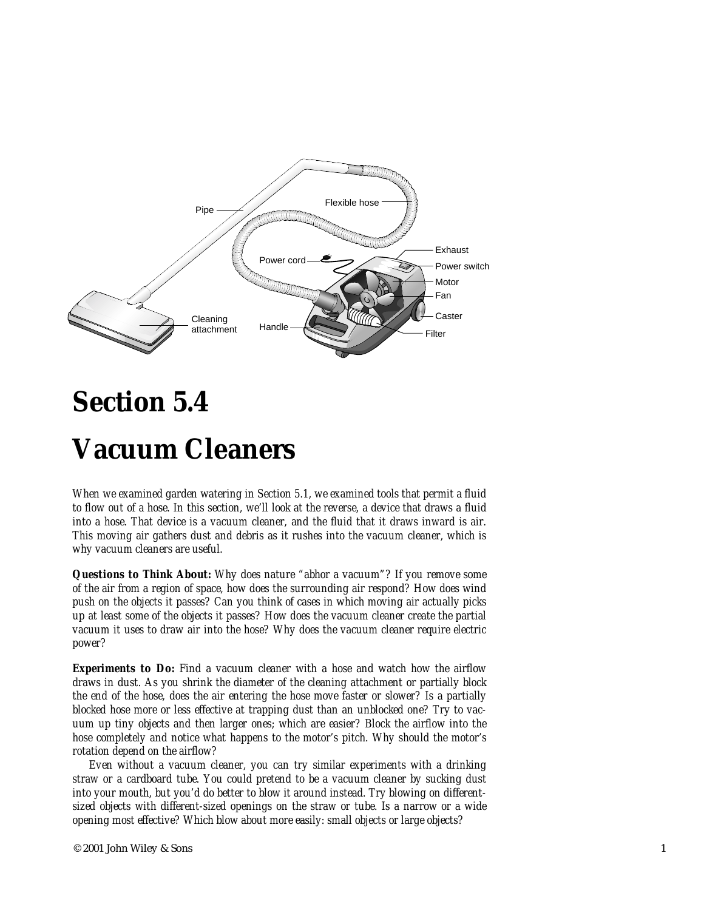

# **Section 5.4**

# **Vacuum Cleaners**

*When we examined garden watering in Section 5.1, we examined tools that permit a fluid to flow out of a hose. In this section, we'll look at the reverse, a device that draws a fluid into a hose. That device is a vacuum cleaner, and the fluid that it draws inward is air. This moving air gathers dust and debris as it rushes into the vacuum cleaner, which is why vacuum cleaners are useful.* 

*Questions to Think About: Why does nature "abhor a vacuum"? If you remove some of the air from a region of space, how does the surrounding air respond? How does wind push on the objects it passes? Can you think of cases in which moving air actually picks up at least some of the objects it passes? How does the vacuum cleaner create the partial vacuum it uses to draw air into the hose? Why does the vacuum cleaner require electric power?* 

*Experiments to Do: Find a vacuum cleaner with a hose and watch how the airflow draws in dust. As you shrink the diameter of the cleaning attachment or partially block the end of the hose, does the air entering the hose move faster or slower? Is a partially blocked hose more or less effective at trapping dust than an unblocked one? Try to vacuum up tiny objects and then larger ones; which are easier? Block the airflow into the hose completely and notice what happens to the motor's pitch. Why should the motor's rotation depend on the airflow?* 

*Even without a vacuum cleaner, you can try similar experiments with a drinking straw or a cardboard tube. You could pretend to be a vacuum cleaner by sucking dust into your mouth, but you'd do better to blow it around instead. Try blowing on differentsized objects with different-sized openings on the straw or tube. Is a narrow or a wide opening most effective? Which blow about more easily: small objects or large objects?*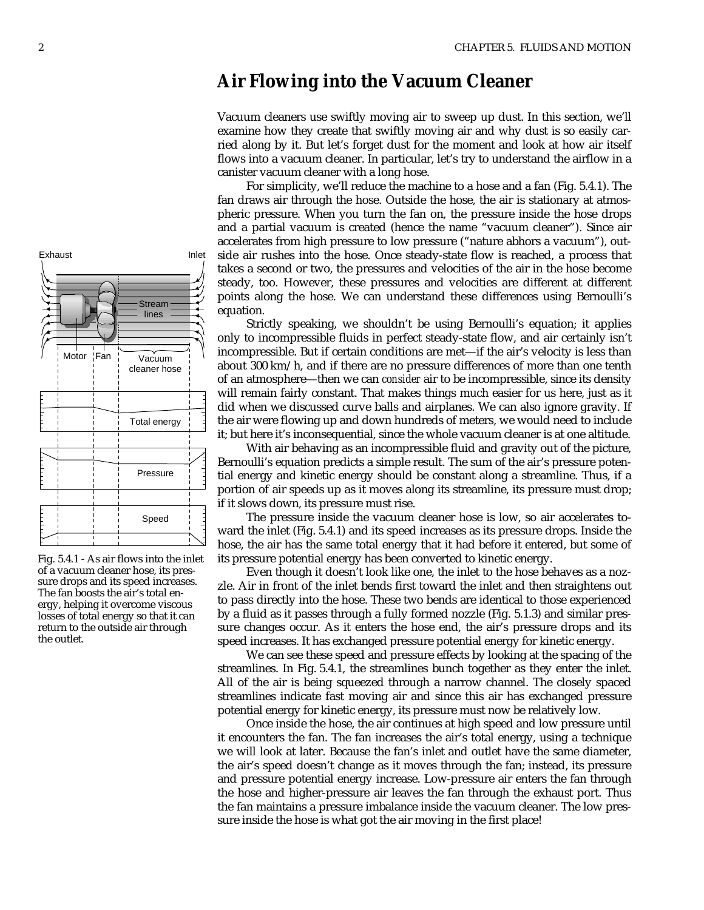### **Air Flowing into the Vacuum Cleaner**

Vacuum cleaners use swiftly moving air to sweep up dust. In this section, we'll examine how they create that swiftly moving air and why dust is so easily carried along by it. But let's forget dust for the moment and look at how air itself flows into a vacuum cleaner. In particular, let's try to understand the airflow in a canister vacuum cleaner with a long hose.

For simplicity, we'll reduce the machine to a hose and a fan (Fig. 5.4.1). The fan draws air through the hose. Outside the hose, the air is stationary at atmospheric pressure. When you turn the fan on, the pressure inside the hose drops and a partial vacuum is created (hence the name "vacuum cleaner"). Since air accelerates from high pressure to low pressure ("nature abhors a vacuum"), outside air rushes into the hose. Once steady-state flow is reached, a process that takes a second or two, the pressures and velocities of the air in the hose become steady, too. However, these pressures and velocities are different at different points along the hose. We can understand these differences using Bernoulli's equation.

Strictly speaking, we shouldn't be using Bernoulli's equation; it applies only to incompressible fluids in perfect steady-state flow, and air certainly isn't incompressible. But if certain conditions are met—if the air's velocity is less than about 300 km/h, and if there are no pressure differences of more than one tenth of an atmosphere—then we can *consider* air to be incompressible, since its density will remain fairly constant. That makes things much easier for us here, just as it did when we discussed curve balls and airplanes. We can also ignore gravity. If the air were flowing up and down hundreds of meters, we would need to include it; but here it's inconsequential, since the whole vacuum cleaner is at one altitude.

With air behaving as an incompressible fluid and gravity out of the picture, Bernoulli's equation predicts a simple result. The sum of the air's pressure potential energy and kinetic energy should be constant along a streamline. Thus, if a portion of air speeds up as it moves along its streamline, its pressure must drop; if it slows down, its pressure must rise.

The pressure inside the vacuum cleaner hose is low, so air accelerates toward the inlet (Fig. 5.4.1) and its speed increases as its pressure drops. Inside the hose, the air has the same total energy that it had before it entered, but some of its pressure potential energy has been converted to kinetic energy.

Even though it doesn't look like one, the inlet to the hose behaves as a nozzle. Air in front of the inlet bends first toward the inlet and then straightens out to pass directly into the hose. These two bends are identical to those experienced by a fluid as it passes through a fully formed nozzle (Fig. 5.1.3) and similar pressure changes occur. As it enters the hose end, the air's pressure drops and its speed increases. It has exchanged pressure potential energy for kinetic energy.

We can see these speed and pressure effects by looking at the spacing of the streamlines. In Fig. 5.4.1, the streamlines bunch together as they enter the inlet. All of the air is being squeezed through a narrow channel. The closely spaced streamlines indicate fast moving air and since this air has exchanged pressure potential energy for kinetic energy, its pressure must now be relatively low.

Once inside the hose, the air continues at high speed and low pressure until it encounters the fan. The fan increases the air's total energy, using a technique we will look at later. Because the fan's inlet and outlet have the same diameter, the air's speed doesn't change as it moves through the fan; instead, its pressure and pressure potential energy increase. Low-pressure air enters the fan through the hose and higher-pressure air leaves the fan through the exhaust port. Thus the fan maintains a pressure imbalance inside the vacuum cleaner. The low pressure inside the hose is what got the air moving in the first place!



Fig. 5.4.1 - As air flows into the inlet of a vacuum cleaner hose, its pressure drops and its speed increases. The fan boosts the air's total energy, helping it overcome viscous losses of total energy so that it can return to the outside air through the outlet.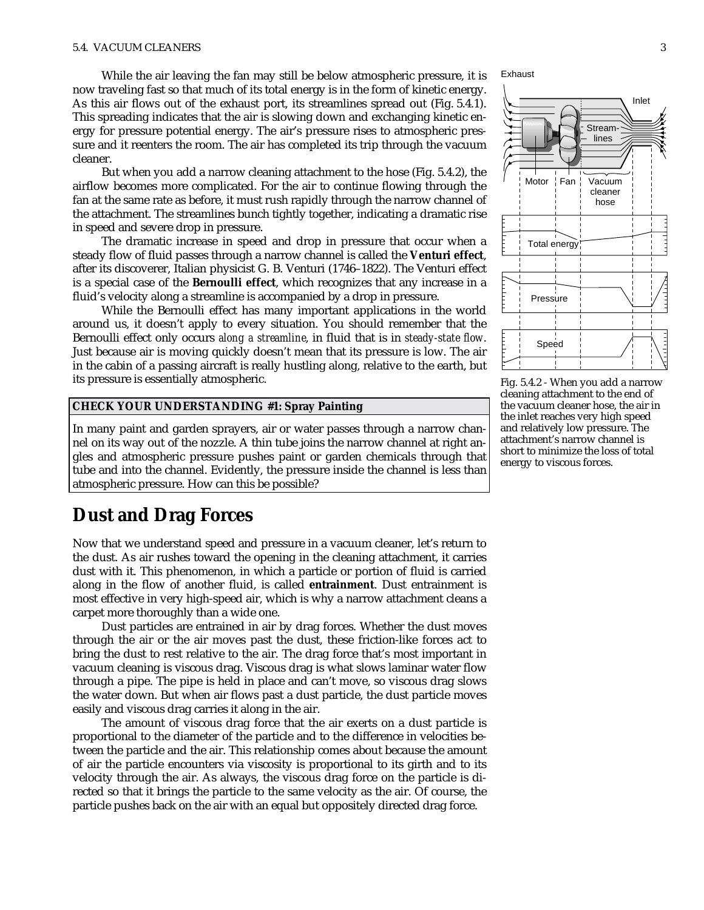While the air leaving the fan may still be below atmospheric pressure, it is now traveling fast so that much of its total energy is in the form of kinetic energy. As this air flows out of the exhaust port, its streamlines spread out (Fig. 5.4.1). This spreading indicates that the air is slowing down and exchanging kinetic energy for pressure potential energy. The air's pressure rises to atmospheric pressure and it reenters the room. The air has completed its trip through the vacuum cleaner.

But when you add a narrow cleaning attachment to the hose (Fig. 5.4.2), the airflow becomes more complicated. For the air to continue flowing through the fan at the same rate as before, it must rush rapidly through the narrow channel of the attachment. The streamlines bunch tightly together, indicating a dramatic rise in speed and severe drop in pressure.

The dramatic increase in speed and drop in pressure that occur when a steady flow of fluid passes through a narrow channel is called the **Venturi effect**, after its discoverer, Italian physicist G. B. Venturi (1746–1822). The Venturi effect is a special case of the **Bernoulli effect**, which recognizes that any increase in a fluid's velocity along a streamline is accompanied by a drop in pressure.

While the Bernoulli effect has many important applications in the world around us, it doesn't apply to every situation. You should remember that the Bernoulli effect only occurs *along a streamline*, in fluid that is in *steady-state flow*. Just because air is moving quickly doesn't mean that its pressure is low. The air in the cabin of a passing aircraft is really hustling along, relative to the earth, but its pressure is essentially atmospheric.

#### **CHECK YOUR UNDERSTANDING #1: Spray Painting**

In many paint and garden sprayers, air or water passes through a narrow channel on its way out of the nozzle. A thin tube joins the narrow channel at right angles and atmospheric pressure pushes paint or garden chemicals through that tube and into the channel. Evidently, the pressure inside the channel is less than atmospheric pressure. How can this be possible?

## **Dust and Drag Forces**

Now that we understand speed and pressure in a vacuum cleaner, let's return to the dust. As air rushes toward the opening in the cleaning attachment, it carries dust with it. This phenomenon, in which a particle or portion of fluid is carried along in the flow of another fluid, is called **entrainment**. Dust entrainment is most effective in very high-speed air, which is why a narrow attachment cleans a carpet more thoroughly than a wide one.

Dust particles are entrained in air by drag forces. Whether the dust moves through the air or the air moves past the dust, these friction-like forces act to bring the dust to rest relative to the air. The drag force that's most important in vacuum cleaning is viscous drag. Viscous drag is what slows laminar water flow through a pipe. The pipe is held in place and can't move, so viscous drag slows the water down. But when air flows past a dust particle, the dust particle moves easily and viscous drag carries it along in the air.

The amount of viscous drag force that the air exerts on a dust particle is proportional to the diameter of the particle and to the difference in velocities between the particle and the air. This relationship comes about because the amount of air the particle encounters via viscosity is proportional to its girth and to its velocity through the air. As always, the viscous drag force on the particle is directed so that it brings the particle to the same velocity as the air. Of course, the particle pushes back on the air with an equal but oppositely directed drag force.

Exhaust



Fig. 5.4.2 - When you add a narrow cleaning attachment to the end of the vacuum cleaner hose, the air in the inlet reaches very high speed and relatively low pressure. The attachment's narrow channel is short to minimize the loss of total energy to viscous forces.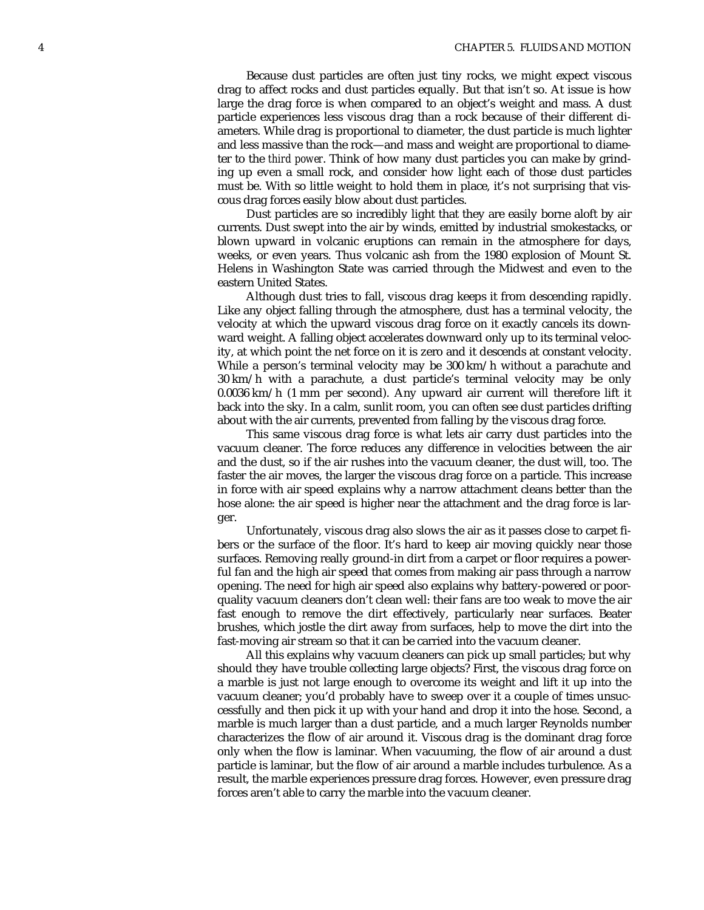Because dust particles are often just tiny rocks, we might expect viscous drag to affect rocks and dust particles equally. But that isn't so. At issue is how large the drag force is when compared to an object's weight and mass. A dust particle experiences less viscous drag than a rock because of their different diameters. While drag is proportional to diameter, the dust particle is much lighter and less massive than the rock—and mass and weight are proportional to diameter to the *third power*. Think of how many dust particles you can make by grinding up even a small rock, and consider how light each of those dust particles must be. With so little weight to hold them in place, it's not surprising that viscous drag forces easily blow about dust particles.

Dust particles are so incredibly light that they are easily borne aloft by air currents. Dust swept into the air by winds, emitted by industrial smokestacks, or blown upward in volcanic eruptions can remain in the atmosphere for days, weeks, or even years. Thus volcanic ash from the 1980 explosion of Mount St. Helens in Washington State was carried through the Midwest and even to the eastern United States.

Although dust tries to fall, viscous drag keeps it from descending rapidly. Like any object falling through the atmosphere, dust has a terminal velocity, the velocity at which the upward viscous drag force on it exactly cancels its downward weight. A falling object accelerates downward only up to its terminal velocity, at which point the net force on it is zero and it descends at constant velocity. While a person's terminal velocity may be 300 km/h without a parachute and 30 km/h with a parachute, a dust particle's terminal velocity may be only 0.0036 km/h (1 mm per second). Any upward air current will therefore lift it back into the sky. In a calm, sunlit room, you can often see dust particles drifting about with the air currents, prevented from falling by the viscous drag force.

This same viscous drag force is what lets air carry dust particles into the vacuum cleaner. The force reduces any difference in velocities between the air and the dust, so if the air rushes into the vacuum cleaner, the dust will, too. The faster the air moves, the larger the viscous drag force on a particle. This increase in force with air speed explains why a narrow attachment cleans better than the hose alone: the air speed is higher near the attachment and the drag force is larger.

Unfortunately, viscous drag also slows the air as it passes close to carpet fibers or the surface of the floor. It's hard to keep air moving quickly near those surfaces. Removing really ground-in dirt from a carpet or floor requires a powerful fan and the high air speed that comes from making air pass through a narrow opening. The need for high air speed also explains why battery-powered or poorquality vacuum cleaners don't clean well: their fans are too weak to move the air fast enough to remove the dirt effectively, particularly near surfaces. Beater brushes, which jostle the dirt away from surfaces, help to move the dirt into the fast-moving air stream so that it can be carried into the vacuum cleaner.

All this explains why vacuum cleaners can pick up small particles; but why should they have trouble collecting large objects? First, the viscous drag force on a marble is just not large enough to overcome its weight and lift it up into the vacuum cleaner; you'd probably have to sweep over it a couple of times unsuccessfully and then pick it up with your hand and drop it into the hose. Second, a marble is much larger than a dust particle, and a much larger Reynolds number characterizes the flow of air around it. Viscous drag is the dominant drag force only when the flow is laminar. When vacuuming, the flow of air around a dust particle is laminar, but the flow of air around a marble includes turbulence. As a result, the marble experiences pressure drag forces. However, even pressure drag forces aren't able to carry the marble into the vacuum cleaner.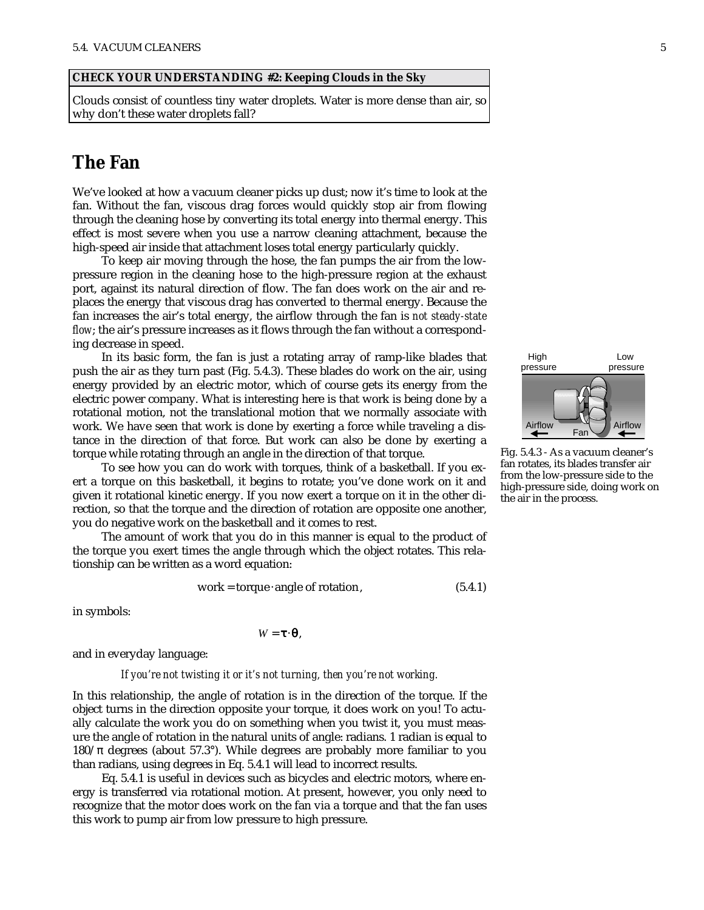#### **CHECK YOUR UNDERSTANDING #2: Keeping Clouds in the Sky**

Clouds consist of countless tiny water droplets. Water is more dense than air, so why don't these water droplets fall?

## **The Fan**

We've looked at how a vacuum cleaner picks up dust; now it's time to look at the fan. Without the fan, viscous drag forces would quickly stop air from flowing through the cleaning hose by converting its total energy into thermal energy. This effect is most severe when you use a narrow cleaning attachment, because the high-speed air inside that attachment loses total energy particularly quickly.

To keep air moving through the hose, the fan pumps the air from the lowpressure region in the cleaning hose to the high-pressure region at the exhaust port, against its natural direction of flow. The fan does work on the air and replaces the energy that viscous drag has converted to thermal energy. Because the fan increases the air's total energy, the airflow through the fan is *not steady-state flow*; the air's pressure increases as it flows through the fan without a corresponding decrease in speed.

In its basic form, the fan is just a rotating array of ramp-like blades that push the air as they turn past (Fig. 5.4.3). These blades do work on the air, using energy provided by an electric motor, which of course gets its energy from the electric power company. What is interesting here is that work is being done by a rotational motion, not the translational motion that we normally associate with work. We have seen that work is done by exerting a force while traveling a distance in the direction of that force. But work can also be done by exerting a torque while rotating through an angle in the direction of that torque.

To see how you can do work with torques, think of a basketball. If you exert a torque on this basketball, it begins to rotate; you've done work on it and given it rotational kinetic energy. If you now exert a torque on it in the other direction, so that the torque and the direction of rotation are opposite one another, you do negative work on the basketball and it comes to rest.

The amount of work that you do in this manner is equal to the product of the torque you exert times the angle through which the object rotates. This relationship can be written as a word equation:

$$
work = torque \cdot angle of rotation, \qquad (5.4.1)
$$

in symbols:

 $W = \tau \cdot \Theta$ ,

and in everyday language:

#### *If you're not twisting it or it's not turning, then you're not working.*

In this relationship, the angle of rotation is in the direction of the torque. If the object turns in the direction opposite your torque, it does work on you! To actually calculate the work you do on something when you twist it, you must measure the angle of rotation in the natural units of angle: radians. 1 radian is equal to  $180/\pi$  degrees (about 57.3°). While degrees are probably more familiar to you than radians, using degrees in Eq. 5.4.1 will lead to incorrect results.

Eq. 5.4.1 is useful in devices such as bicycles and electric motors, where energy is transferred via rotational motion. At present, however, you only need to recognize that the motor does work on the fan via a torque and that the fan uses this work to pump air from low pressure to high pressure.



Fig. 5.4.3 - As a vacuum cleaner's fan rotates, its blades transfer air from the low-pressure side to the high-pressure side, doing work on the air in the process.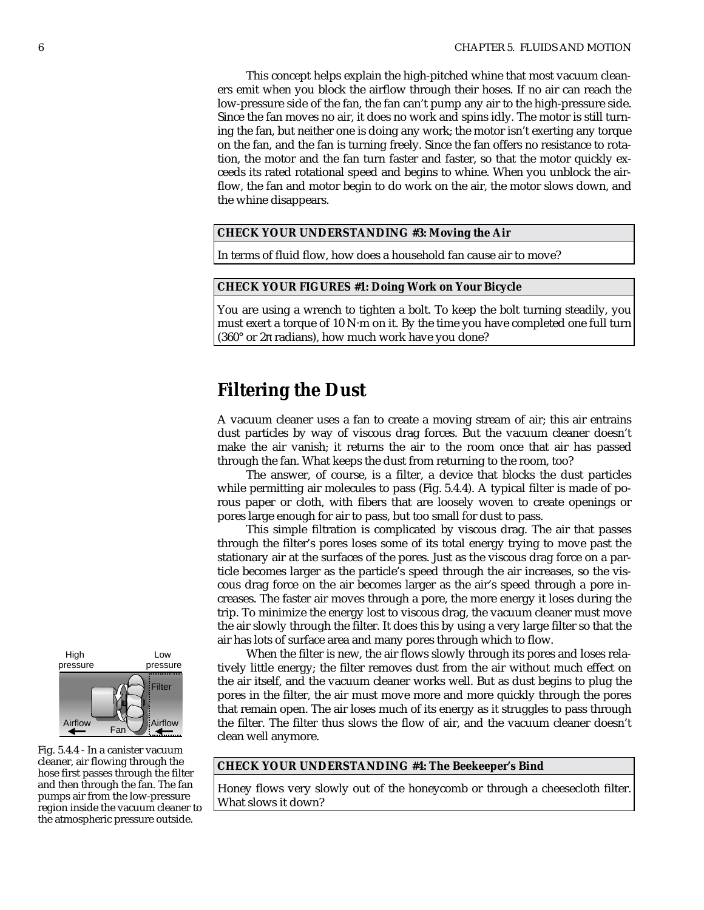This concept helps explain the high-pitched whine that most vacuum cleaners emit when you block the airflow through their hoses. If no air can reach the low-pressure side of the fan, the fan can't pump any air to the high-pressure side. Since the fan moves no air, it does no work and spins idly. The motor is still turning the fan, but neither one is doing any work; the motor isn't exerting any torque on the fan, and the fan is turning freely. Since the fan offers no resistance to rotation, the motor and the fan turn faster and faster, so that the motor quickly exceeds its rated rotational speed and begins to whine. When you unblock the airflow, the fan and motor begin to do work on the air, the motor slows down, and the whine disappears.

#### **CHECK YOUR UNDERSTANDING #3: Moving the Air**

In terms of fluid flow, how does a household fan cause air to move?

#### **CHECK YOUR FIGURES #1: Doing Work on Your Bicycle**

You are using a wrench to tighten a bolt. To keep the bolt turning steadily, you must exert a torque of 10 N·m on it. By the time you have completed one full turn (360 $^{\circ}$  or 2 $\pi$  radians), how much work have you done?

### **Filtering the Dust**

A vacuum cleaner uses a fan to create a moving stream of air; this air entrains dust particles by way of viscous drag forces. But the vacuum cleaner doesn't make the air vanish; it returns the air to the room once that air has passed through the fan. What keeps the dust from returning to the room, too?

The answer, of course, is a filter, a device that blocks the dust particles while permitting air molecules to pass (Fig. 5.4.4). A typical filter is made of porous paper or cloth, with fibers that are loosely woven to create openings or pores large enough for air to pass, but too small for dust to pass.

This simple filtration is complicated by viscous drag. The air that passes through the filter's pores loses some of its total energy trying to move past the stationary air at the surfaces of the pores. Just as the viscous drag force on a particle becomes larger as the particle's speed through the air increases, so the viscous drag force on the air becomes larger as the air's speed through a pore increases. The faster air moves through a pore, the more energy it loses during the trip. To minimize the energy lost to viscous drag, the vacuum cleaner must move the air slowly through the filter. It does this by using a very large filter so that the air has lots of surface area and many pores through which to flow.

When the filter is new, the air flows slowly through its pores and loses relatively little energy; the filter removes dust from the air without much effect on the air itself, and the vacuum cleaner works well. But as dust begins to plug the pores in the filter, the air must move more and more quickly through the pores that remain open. The air loses much of its energy as it struggles to pass through the filter. The filter thus slows the flow of air, and the vacuum cleaner doesn't clean well anymore.

#### **CHECK YOUR UNDERSTANDING #4: The Beekeeper's Bind**

Honey flows very slowly out of the honeycomb or through a cheesecloth filter. What slows it down?



Fig. 5.4.4 - In a canister vacuum cleaner, air flowing through the hose first passes through the filter and then through the fan. The fan pumps air from the low-pressure region inside the vacuum cleaner to the atmospheric pressure outside.